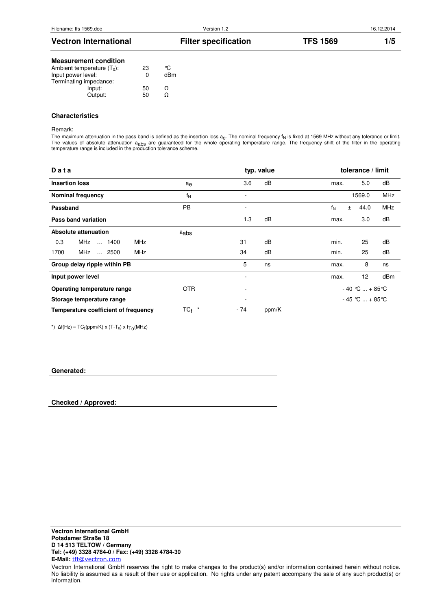| <b>Vectron International</b> | <b>Filter specification</b> | <b>TFS 1569</b> |  |
|------------------------------|-----------------------------|-----------------|--|
|                              |                             |                 |  |

# **Measurement condition**

| Ambient temperature $(T_0)$ : | 23 | °C. |
|-------------------------------|----|-----|
| Input power level:            | ŋ  | dBm |
| Terminating impedance:        |    |     |
| Input:                        | 50 | Ω   |
| Output:                       | 50 | റ   |
|                               |    |     |

#### **Characteristics**

Remark:

The maximum attenuation in the pass band is defined as the insertion loss a<sub>e</sub>. The nominal frequency f<sub>N</sub> is fixed at 1569 MHz without any tolerance or limit. The values of absolute attenuation a<sub>abs</sub> are guaranteed for the whole operating temperature range. The frequency shift of the filter in the operating<br>temperature range is included in the production tolerance scheme.

| Data                                       |                  |                          | typ. value |                | tolerance / limit   |            |
|--------------------------------------------|------------------|--------------------------|------------|----------------|---------------------|------------|
| <b>Insertion loss</b>                      | $a_{e}$          | 3.6                      | dB         | max.           | 5.0                 | dB         |
| <b>Nominal frequency</b>                   | $f_N$            | ۰                        |            |                | 1569.0              | <b>MHz</b> |
| Passband                                   | <b>PB</b>        | $\overline{\phantom{a}}$ |            | $f_N$<br>$\pm$ | 44.0                | <b>MHz</b> |
| Pass band variation                        |                  | 1.3                      | dB         | max.           | 3.0                 | dB         |
| Absolute attenuation                       | a <sub>abs</sub> |                          |            |                |                     |            |
| MHz<br>0.3<br>MHz<br>1400                  |                  | 31                       | dB         | min.           | 25                  | dB         |
| <b>MHz</b><br>MHz<br>1700<br>$\ldots$ 2500 |                  | 34                       | dB         | min.           | 25                  | dB         |
| Group delay ripple within PB               |                  | 5                        | ns         | max.           | 8                   | ns         |
| Input power level                          |                  | max.                     | 12         | dBm            |                     |            |
| <b>OTR</b><br>Operating temperature range  |                  | $\overline{\phantom{a}}$ |            |                | $-40$ °C  + 85 °C   |            |
| Storage temperature range                  |                  |                          |            |                | $-45$ °C $ + 85$ °C |            |
| Temperature coefficient of frequency       | $TC_f$ *         | - 74                     | ppm/K      |                |                     |            |

\*)  $\Delta f(Hz) = TC_f(ppm/K) \times (T-T_0) \times f_{TO}(MHz)$ 

#### **Generated:**

**Checked / Approved:**

Vectron International GmbH reserves the right to make changes to the product(s) and/or information contained herein without notice. No liability is assumed as a result of their use or application. No rights under any patent accompany the sale of any such product(s) or information.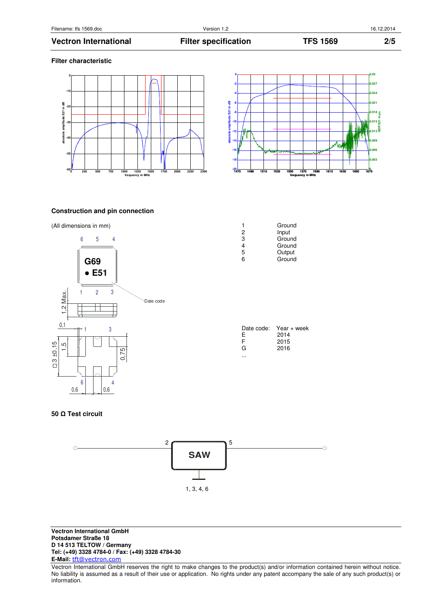## **Vectron International Filter specification TFS 1569 2/5**

#### **Filter characteristic**





## **Construction and pin connection**





| 2<br>3<br>4<br>5<br>6 | Ground<br>Input<br>Ground<br>Ground<br>Output<br>Ground |
|-----------------------|---------------------------------------------------------|
|                       |                                                         |

| Date code: | Year + week |
|------------|-------------|
| E          | 2014        |
| F          | 2015        |
| G          | 2016        |
|            |             |

## **50** Ω **Test circuit**



**Vectron International GmbH Potsdamer Straße 18 D 14 513 TELTOW / Germany Tel: (+49) 3328 4784-0 / Fax: (+49) 3328 4784-30 E-Mail:** tft@vectron.com

Vectron International GmbH reserves the right to make changes to the product(s) and/or information contained herein without notice. No liability is assumed as a result of their use or application. No rights under any patent accompany the sale of any such product(s) or information.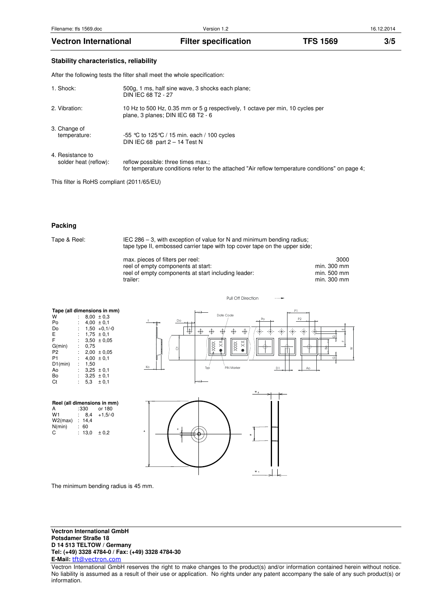### **Stability characteristics, reliability**

After the following tests the filter shall meet the whole specification:

| 1. Shock:                                 | 500g, 1 ms, half sine wave, 3 shocks each plane;<br>DIN IEC 68 T2 - 27                                                                |
|-------------------------------------------|---------------------------------------------------------------------------------------------------------------------------------------|
| 2. Vibration:                             | 10 Hz to 500 Hz, 0.35 mm or 5 g respectively, 1 octave per min, 10 cycles per<br>plane, 3 planes; DIN IEC 68 T2 - 6                   |
| 3. Change of<br>temperature:              | -55 °C to 125 °C / 15 min. each / 100 cycles<br>DIN IEC 68 part $2 - 14$ Test N                                                       |
| 4. Resistance to<br>solder heat (reflow): | reflow possible: three times max.;<br>for temperature conditions refer to the attached "Air reflow temperature conditions" on page 4; |

This filter is RoHS compliant (2011/65/EU)

### **Packing**

Tape & Reel: IEC 286 – 3, with exception of value for N and minimum bending radius; tape type II, embossed carrier tape with top cover tape on the upper side;

| max. pieces of filters per reel:                    | 3000        |
|-----------------------------------------------------|-------------|
| reel of empty components at start:                  | min. 300 mm |
| reel of empty components at start including leader: | min. 500 mm |
| trailer:                                            | min. 300 mm |

Pull Off Direction

| Tape (all dimensions in mm) |                      |      |                 |  |  |
|-----------------------------|----------------------|------|-----------------|--|--|
| W                           |                      |      | $8.00 \pm 0.3$  |  |  |
| Po                          | ۰.                   |      | $4,00 \pm 0,1$  |  |  |
| Do                          |                      |      | $1,50 +0,1/-0$  |  |  |
| Е                           | ÷                    |      | $1,75 \pm 0,1$  |  |  |
| F                           |                      |      | $3.50 \pm 0.05$ |  |  |
| G(min)                      | ÷                    | 0.75 |                 |  |  |
| P <sub>2</sub>              | ÷.                   |      | $2,00 \pm 0,05$ |  |  |
| P1                          | ÷                    |      | $4,00 \pm 0,1$  |  |  |
| D1(min)                     | ÷                    | 1.50 |                 |  |  |
| Ao                          | $\ddot{\phantom{a}}$ |      | $3,25 \pm 0,1$  |  |  |
| Bo                          | ÷.                   |      | $3,25 \pm 0,1$  |  |  |
| Ct                          |                      |      | $5.3 \pm 0.1$   |  |  |

| Reel (all dimensions in mm) |        |           |  |  |  |
|-----------------------------|--------|-----------|--|--|--|
| А                           | :330   | or 180    |  |  |  |
| W <sub>1</sub>              | 8,4    | $+1,5/-0$ |  |  |  |
| W2(max)                     | : 14.4 |           |  |  |  |
| N(min)                      | 60     |           |  |  |  |
| C                           | : 13.0 | ± 0.2     |  |  |  |





The minimum bending radius is 45 mm.

**Vectron International GmbH Potsdamer Straße 18 D 14 513 TELTOW / Germany Tel: (+49) 3328 4784-0 / Fax: (+49) 3328 4784-30 E-Mail:** tft@vectron.com

Vectron International GmbH reserves the right to make changes to the product(s) and/or information contained herein without notice. No liability is assumed as a result of their use or application. No rights under any patent accompany the sale of any such product(s) or information.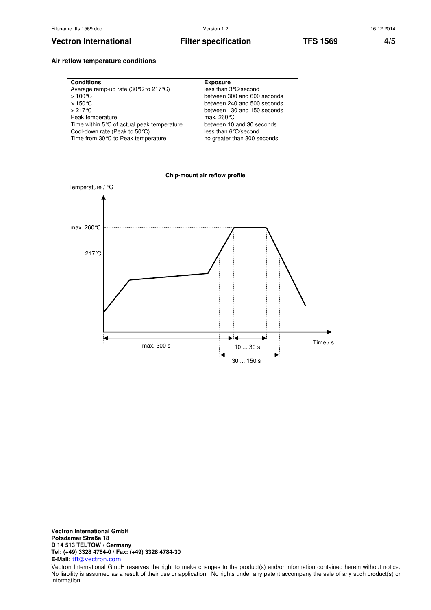# **Vectron International Filter specification TFS 1569 4/5**

## **Air reflow temperature conditions**

| <b>Conditions</b>                          | <b>Exposure</b>             |
|--------------------------------------------|-----------------------------|
| Average ramp-up rate (30 ℃ to 217 ℃)       | less than 3 ° C/second      |
| $>100^{\circ}C$                            | between 300 and 600 seconds |
| $>150^{\circ}$ C                           | between 240 and 500 seconds |
| $>217^{\circ}$ C                           | between 30 and 150 seconds  |
| Peak temperature                           | max. $260^{\circ}$ C        |
| Time within 5°C of actual peak temperature | between 10 and 30 seconds   |
| Cool-down rate (Peak to $50^{\circ}$ C)    | less than 6°C/second        |
| Time from 30℃ to Peak temperature          | no greater than 300 seconds |



**Vectron International GmbH Potsdamer Straße 18 D 14 513 TELTOW / Germany Tel: (+49) 3328 4784-0 / Fax: (+49) 3328 4784-30 E-Mail:** tft@vectron.com

Vectron International GmbH reserves the right to make changes to the product(s) and/or information contained herein without notice. No liability is assumed as a result of their use or application. No rights under any patent accompany the sale of any such product(s) or information.